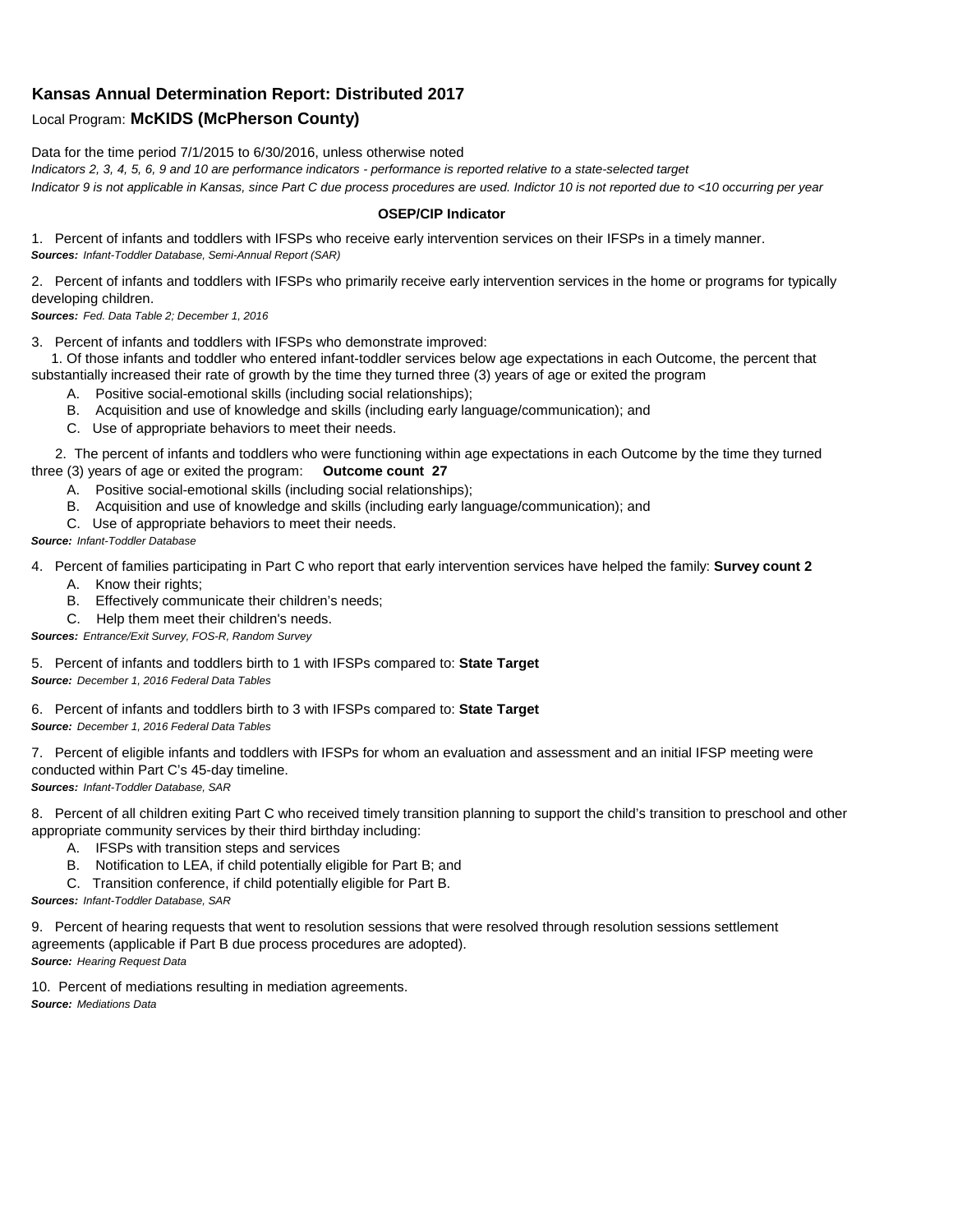## **Kansas Annual Determination Report: Distributed 2017**

## Local Program: **McKIDS (McPherson County)**

Data for the time period 7/1/2015 to 6/30/2016, unless otherwise noted *Indicators 2, 3, 4, 5, 6, 9 and 10 are performance indicators - performance is reported relative to a state-selected target Indicator 9 is not applicable in Kansas, since Part C due process procedures are used. Indictor 10 is not reported due to <10 occurring per year*

## **OSEP/CIP Indicator**

1. Percent of infants and toddlers with IFSPs who receive early intervention services on their IFSPs in a timely manner. *Sources: Infant-Toddler Database, Semi-Annual Report (SAR)* 

2. Percent of infants and toddlers with IFSPs who primarily receive early intervention services in the home or programs for typically developing children.

*Sources: Fed. Data Table 2; December 1, 2016*

3. Percent of infants and toddlers with IFSPs who demonstrate improved:

 1. Of those infants and toddler who entered infant-toddler services below age expectations in each Outcome, the percent that substantially increased their rate of growth by the time they turned three (3) years of age or exited the program

- A. Positive social-emotional skills (including social relationships);
- B. Acquisition and use of knowledge and skills (including early language/communication); and
- C. Use of appropriate behaviors to meet their needs.

 2. The percent of infants and toddlers who were functioning within age expectations in each Outcome by the time they turned three (3) years of age or exited the program: **Outcome count 27**

- A. Positive social-emotional skills (including social relationships);
- B. Acquisition and use of knowledge and skills (including early language/communication); and
- C. Use of appropriate behaviors to meet their needs.

## *Source: Infant-Toddler Database*

4. Percent of families participating in Part C who report that early intervention services have helped the family: **Survey count 2**

- A. Know their rights;
- B. Effectively communicate their children's needs;
- C. Help them meet their children's needs.
- *Sources: Entrance/Exit Survey, FOS-R, Random Survey*

5. Percent of infants and toddlers birth to 1 with IFSPs compared to: **State Target** *Source: December 1, 2016 Federal Data Tables*

6. Percent of infants and toddlers birth to 3 with IFSPs compared to: **State Target** *Source: December 1, 2016 Federal Data Tables*

7. Percent of eligible infants and toddlers with IFSPs for whom an evaluation and assessment and an initial IFSP meeting were conducted within Part C's 45-day timeline.

*Sources: Infant-Toddler Database, SAR*

8. Percent of all children exiting Part C who received timely transition planning to support the child's transition to preschool and other appropriate community services by their third birthday including:

- A. IFSPs with transition steps and services
- B. Notification to LEA, if child potentially eligible for Part B; and
- C. Transition conference, if child potentially eligible for Part B.

*Sources: Infant-Toddler Database, SAR*

9. Percent of hearing requests that went to resolution sessions that were resolved through resolution sessions settlement agreements (applicable if Part B due process procedures are adopted). *Source: Hearing Request Data*

10. Percent of mediations resulting in mediation agreements. *Source: Mediations Data*